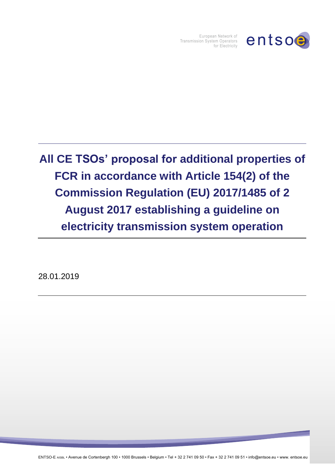

European Network of Transmission System Operators for Electricity

## **All CE TSOs' proposal for additional properties of FCR in accordance with Article 154(2) of the Commission Regulation (EU) 2017/1485 of 2 August 2017 establishing a guideline on electricity transmission system operation**

28.01.2019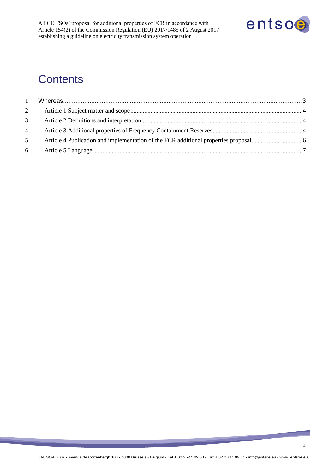

## **Contents**

| $\overline{2}$ |  |
|----------------|--|
| 3 <sup>7</sup> |  |
| $4 \quad$      |  |
| 5 <sup>5</sup> |  |
| 6              |  |

<u> a shekara ta 1999 a shekara ta 1999 a shekara ta 1999 a shekara ta 1999 a shekara ta 1999 a shekara ta 1999 a shekara ta 1999 a shekara ta 1999 a shekara ta 1999 a shekara ta 1999 a shekara ta 1999 a shekara ta 1999 a sh</u>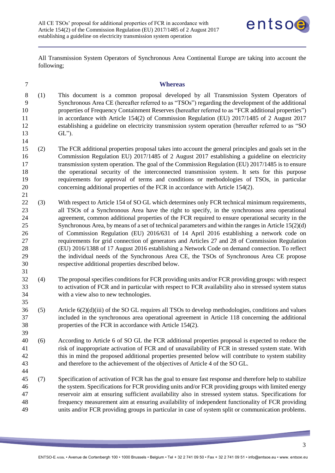

All Transmission System Operators of Synchronous Area Continental Europe are taking into account the following;

<span id="page-2-0"></span>

| - | <b>Whereas</b> |
|---|----------------|
|---|----------------|

- (1) This document is a common proposal developed by all Transmission System Operators of Synchronous Area CE (hereafter referred to as "TSOs") regarding the development of the additional properties of Frequency Containment Reserves (hereafter referred to as "FCR additional properties") 11 in accordance with Article 154(2) of Commission Regulation (EU) 2017/1485 of 2 August 2017 establishing a guideline on electricity transmission system operation (hereafter referred to as "SO GL").
- (2) The FCR additional properties proposal takes into account the general principles and goals set in the Commission Regulation EU) 2017/1485 of 2 August 2017 establishing a guideline on electricity transmission system operation. The goal of the Commission Regulation (EU) 2017/1485 is to ensure the operational security of the interconnected transmission system. It sets for this purpose requirements for approval of terms and conditions or methodologies of TSOs, in particular concerning additional properties of the FCR in accordance with Article 154(2).
- (3) With respect to Article 154 of SO GL which determines only FCR technical minimum requirements, all TSOs of a Synchronous Area have the right to specify, in the synchronous area operational agreement, common additional properties of the FCR required to ensure operational security in the Synchronous Area, by means of a set of technical parameters and within the ranges in Article 15(2)(d) of Commission Regulation (EU) 2016/631 of 14 April 2016 establishing a network code on requirements for grid connection of generators and Articles 27 and 28 of Commission Regulation (EU) 2016/1388 of 17 August 2016 establishing a Network Code on demand connection. To reflect the individual needs of the Synchronous Area CE, the TSOs of Synchronous Area CE propose respective additional properties described below.
- (4) The proposal specifies conditions for FCR providing units and/or FCR providing groups: with respect to activation of FCR and in particular with respect to FCR availability also in stressed system status with a view also to new technologies.
- (5) Article 6(2)(d)(iii) of the SO GL requires all TSOs to develop methodologies, conditions and values included in the synchronous area operational agreement in Article 118 concerning the additional properties of the FCR in accordance with Article 154(2).
- (6) According to Article 6 of SO GL the FCR additional properties proposal is expected to reduce the risk of inappropriate activation of FCR and of unavailability of FCR in stressed system state. With this in mind the proposed additional properties presented below will contribute to system stability and therefore to the achievement of the objectives of Article 4 of the SO GL.
- (7) Specification of activation of FCR has the goal to ensure fast response and therefore help to stabilize the system. Specifications for FCR providing units and/or FCR providing groups with limited energy reservoir aim at ensuring sufficient availability also in stressed system status. Specifications for frequency measurement aim at ensuring availability of independent functionality of FCR providing units and/or FCR providing groups in particular in case of system split or communication problems.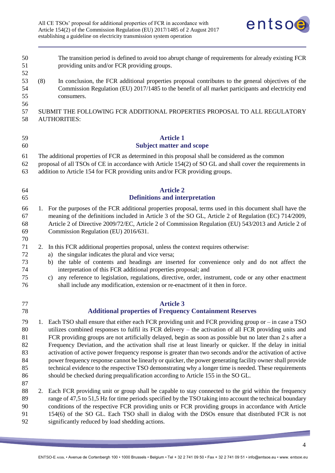

<span id="page-3-1"></span><span id="page-3-0"></span>

| 50<br>51<br>52                                     |     | The transition period is defined to avoid too abrupt change of requirements for already existing FCR<br>providing units and/or FCR providing groups.                                                                                                                                                                                                                                                                                                                                                                                                                                                                                                                                                                                                                                                                                                               |
|----------------------------------------------------|-----|--------------------------------------------------------------------------------------------------------------------------------------------------------------------------------------------------------------------------------------------------------------------------------------------------------------------------------------------------------------------------------------------------------------------------------------------------------------------------------------------------------------------------------------------------------------------------------------------------------------------------------------------------------------------------------------------------------------------------------------------------------------------------------------------------------------------------------------------------------------------|
| 53<br>54<br>55<br>56                               | (8) | In conclusion, the FCR additional properties proposal contributes to the general objectives of the<br>Commission Regulation (EU) 2017/1485 to the benefit of all market participants and electricity end<br>consumers.                                                                                                                                                                                                                                                                                                                                                                                                                                                                                                                                                                                                                                             |
| 57<br>58                                           |     | SUBMIT THE FOLLOWING FCR ADDITIONAL PROPERTIES PROPOSAL TO ALL REGULATORY<br><b>AUTHORITIES:</b>                                                                                                                                                                                                                                                                                                                                                                                                                                                                                                                                                                                                                                                                                                                                                                   |
| 59<br>60                                           |     | <b>Article 1</b><br><b>Subject matter and scope</b>                                                                                                                                                                                                                                                                                                                                                                                                                                                                                                                                                                                                                                                                                                                                                                                                                |
| 61<br>62<br>63                                     |     | The additional properties of FCR as determined in this proposal shall be considered as the common<br>proposal of all TSOs of CE in accordance with Article 154(2) of SO GL and shall cover the requirements in<br>addition to Article 154 for FCR providing units and/or FCR providing groups.                                                                                                                                                                                                                                                                                                                                                                                                                                                                                                                                                                     |
| 64<br>65                                           |     | <b>Article 2</b><br><b>Definitions and interpretation</b>                                                                                                                                                                                                                                                                                                                                                                                                                                                                                                                                                                                                                                                                                                                                                                                                          |
| 66<br>67<br>68<br>69<br>70                         |     | 1. For the purposes of the FCR additional properties proposal, terms used in this document shall have the<br>meaning of the definitions included in Article 3 of the SO GL, Article 2 of Regulation (EC) 714/2009,<br>Article 2 of Directive 2009/72/EC, Article 2 of Commission Regulation (EU) 543/2013 and Article 2 of<br>Commission Regulation (EU) 2016/631.                                                                                                                                                                                                                                                                                                                                                                                                                                                                                                 |
| 71<br>72<br>73<br>74<br>75<br>76                   | 2.  | In this FCR additional properties proposal, unless the context requires otherwise:<br>the singular indicates the plural and vice versa;<br>a)<br>the table of contents and headings are inserted for convenience only and do not affect the<br>b)<br>interpretation of this FCR additional properties proposal; and<br>any reference to legislation, regulations, directive, order, instrument, code or any other enactment<br>c)<br>shall include any modification, extension or re-enactment of it then in force.                                                                                                                                                                                                                                                                                                                                                |
| 77<br>78                                           |     | <b>Article 3</b><br><b>Additional properties of Frequency Containment Reserves</b>                                                                                                                                                                                                                                                                                                                                                                                                                                                                                                                                                                                                                                                                                                                                                                                 |
| 79<br>80<br>81<br>82<br>83<br>84<br>85<br>86<br>87 | 1.  | Each TSO shall ensure that either each FCR providing unit and FCR providing group or $-$ in case a TSO<br>utilizes combined responses to fulfil its FCR delivery - the activation of all FCR providing units and<br>FCR providing groups are not artificially delayed, begin as soon as possible but no later than 2 s after a<br>Frequency Deviation, and the activation shall rise at least linearly or quicker. If the delay in initial<br>activation of active power frequency response is greater than two seconds and/or the activation of active<br>power frequency response cannot be linearly or quicker, the power generating facility owner shall provide<br>technical evidence to the respective TSO demonstrating why a longer time is needed. These requirements<br>should be checked during prequalification according to Article 155 in the SO GL. |
| 88<br>89<br>90<br>91<br>92                         | 2.  | Each FCR providing unit or group shall be capable to stay connected to the grid within the frequency<br>range of 47,5 to 51,5 Hz for time periods specified by the TSO taking into account the technical boundary<br>conditions of the respective FCR providing units or FCR providing groups in accordance with Article<br>154(6) of the SO GL. Each TSO shall in dialog with the DSOs ensure that distributed FCR is not<br>significantly reduced by load shedding actions.                                                                                                                                                                                                                                                                                                                                                                                      |

<span id="page-3-2"></span>the company's company's company's company's company's company's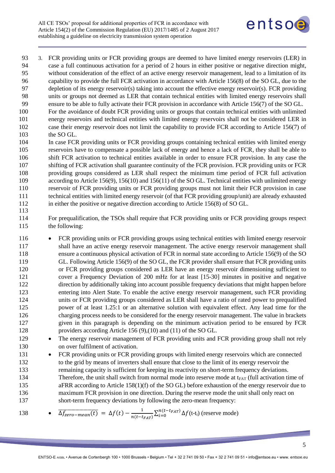

 3. FCR providing units or FCR providing groups are deemed to have limited energy reservoirs (LER) in case a full continuous activation for a period of 2 hours in either positive or negative direction might, without consideration of the effect of an active energy reservoir management, lead to a limitation of its capability to provide the full FCR activation in accordance with Article 156(8) of the SO GL, due to the depletion of its energy reservoir(s) taking into account the effective energy reservoir(s). FCR providing units or groups not deemed as LER that contain technical entities with limited energy reservoirs shall ensure to be able to fully activate their FCR provision in accordance with Article 156(7) of the SO GL.

- For the avoidance of doubt FCR providing units or groups that contain technical entities with unlimited energy reservoirs and technical entities with limited energy reservoirs shall not be considered LER in case their energy reservoir does not limit the capability to provide FCR according to Article 156(7) of the SO GL.
- In case FCR providing units or FCR providing groups containing technical entities with limited energy reservoirs have to compensate a possible lack of energy and hence a lack of FCR, they shall be able to shift FCR activation to technical entities available in order to ensure FCR provision. In any case the shifting of FCR activation shall guarantee continuity of the FCR provision. FCR providing units or FCR providing groups considered as LER shall respect the minimum time period of FCR full activation 109 according to Article 156(9), 156(10) and 156(11) of the SO GL. Technical entities with unlimited energy reservoir of FCR providing units or FCR providing groups must not limit their FCR provision in case technical entities with limited energy reservoir (of that FCR providing group/unit) are already exhausted in either the positive or negative direction according to Article 156(8) of SO GL.
- For prequalification, the TSOs shall require that FCR providing units or FCR providing groups respect the following:
- FCR providing units or FCR providing groups using technical entities with limited energy reservoir shall have an active energy reservoir management. The active energy reservoir management shall ensure a continuous physical activation of FCR in normal state according to Article 156(9) of the SO GL. Following Article 156(9) of the SO GL, the FCR provider shall ensure that FCR providing units or FCR providing groups considered as LER have an energy reservoir dimensioning sufficient to cover a Frequency Deviation of 200 mHz for at least [15-30] minutes in positive and negative direction by additionally taking into account possible frequency deviations that might happen before entering into Alert State. To enable the active energy reservoir management, such FCR providing units or FCR providing groups considered as LER shall have a ratio of rated power to prequalified power of at least 1.25:1 or an alternative solution with equivalent effect. Any lead time for the charging process needs to be considered for the energy reservoir management. The value in brackets given in this paragraph is depending on the minimum activation period to be ensured by FCR providers according Article 156 (9),(10) and (11) of the SO GL.
- 129 The energy reservoir management of FCR providing units and FCR providing group shall not rely on over fulfilment of activation.
- FCR providing units or FCR providing groups with limited energy reservoirs which are connected to the grid by means of inverters shall ensure that close to the limit of its energy reservoir the remaining capacity is sufficient for keeping its reactivity on short-term frequency deviations. 134 Therefore, the unit shall switch from normal mode into reserve mode at  $t_{FAT}$  (full activation time of aFRR according to Article 158(1)(f) of the SO GL) before exhaustion of the energy reservoir due to maximum FCR provision in one direction. During the reserve mode the unit shall only react on short-term frequency deviations by following the zero-mean frequency:

138 
$$
\bullet \quad \overline{\Delta f_{zero-mean}(t)} = \Delta f(t) - \frac{1}{n(t - t_{FAT})} \sum_{i=0}^{n(t - t_{FAT})} \Delta f(t - t_i)
$$
 (reserve mode)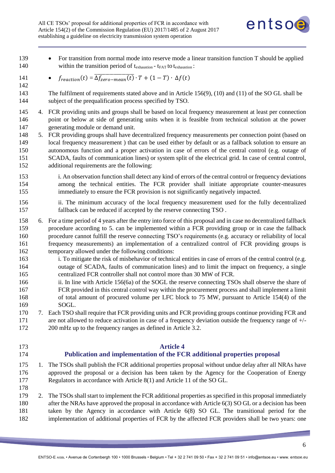

| 139<br>140                      |    | For transition from normal mode into reserve mode a linear transition function T should be applied<br>within the transition period of t <sub>exhaustion</sub> - t <sub>FAT</sub> to t <sub>exhaustion</sub> :                                                                                                                                                                                                                                                                          |
|---------------------------------|----|----------------------------------------------------------------------------------------------------------------------------------------------------------------------------------------------------------------------------------------------------------------------------------------------------------------------------------------------------------------------------------------------------------------------------------------------------------------------------------------|
| 141<br>142                      |    | $f_{reaction}(t) = \overline{\Delta f_{zero-mean}(t)} \cdot T + (1 - T) \cdot \Delta f(t)$<br>$\bullet$                                                                                                                                                                                                                                                                                                                                                                                |
| 143<br>144                      |    | The fulfilment of requirements stated above and in Article $156(9)$ , $(10)$ and $(11)$ of the SO GL shall be<br>subject of the prequalification process specified by TSO.                                                                                                                                                                                                                                                                                                             |
| 145<br>146<br>147               |    | 4. FCR providing units and groups shall be based on local frequency measurement at least per connection<br>point or below at side of generating units when it is feasible from technical solution at the power<br>generating module or demand unit.                                                                                                                                                                                                                                    |
| 148<br>149<br>150<br>151<br>152 |    | 5. FCR providing groups shall have decentralized frequency measurements per connection point (based on<br>local frequency measurement ) that can be used either by default or as a fallback solution to ensure an<br>autonomous function and a proper activation in case of errors of the central control (e.g. outage of<br>SCADA, faults of communication lines) or system split of the electrical grid. In case of central control,<br>additional requirements are the following:   |
| 153<br>154<br>155               |    | i. An observation function shall detect any kind of errors of the central control or frequency deviations<br>among the technical entities. The FCR provider shall initiate appropriate counter-measures<br>immediately to ensure the FCR provision is not significantly negatively impacted.                                                                                                                                                                                           |
| 156<br>157                      |    | ii. The minimum accuracy of the local frequency measurement used for the fully decentralized<br>fallback can be reduced if accepted by the reserve connecting TSO.                                                                                                                                                                                                                                                                                                                     |
| 158<br>159<br>160<br>161<br>162 | 6. | For a time period of 4 years after the entry into force of this proposal and in case no decentralized fallback<br>procedure according to 5, can be implemented within a FCR providing group or in case the fallback<br>procedure cannot fulfill the reserve connecting TSO's requirements (e.g. accuracy or reliability of local<br>frequency measurements) an implementation of a centralized control of FCR providing groups is<br>temporary allowed under the following conditions: |
| 163<br>164<br>165               |    | i. To mitigate the risk of misbehavior of technical entities in case of errors of the central control (e.g.<br>outage of SCADA, faults of communication lines) and to limit the impact on frequency, a single<br>centralized FCR controller shall not control more than 30 MW of FCR.                                                                                                                                                                                                  |
| 166<br>167<br>168<br>169        |    | ii. In line with Article 156(6a) of the SOGL the reserve connecting TSOs shall observe the share of<br>FCR provided in this central control way within the procurement process and shall implement a limit<br>of total amount of procured volume per LFC block to 75 MW, pursuant to Article 154(4) of the<br>SOGL.                                                                                                                                                                    |
| 170                             | 7. | Each TSO shall require that FCR providing units and FCR providing groups continue providing FCR and                                                                                                                                                                                                                                                                                                                                                                                    |
| 171                             |    | are not allowed to reduce activation in case of a frequency deviation outside the frequency range of $+\prime$ -                                                                                                                                                                                                                                                                                                                                                                       |
| 172                             |    | 200 mHz up to the frequency ranges as defined in Article 3.2.                                                                                                                                                                                                                                                                                                                                                                                                                          |
| 173<br>174                      |    | <b>Article 4</b><br>Publication and implementation of the FCR additional properties proposal                                                                                                                                                                                                                                                                                                                                                                                           |
| 175<br>176<br>177               | 1. | The TSOs shall publish the FCR additional properties proposal without undue delay after all NRAs have<br>approved the proposal or a decision has been taken by the Agency for the Cooperation of Energy<br>Regulators in accordance with Article 8(1) and Article 11 of the SO GL.                                                                                                                                                                                                     |

- <span id="page-5-0"></span>
- 2. The TSOs shall start to implement the FCR additional properties as specified in this proposal immediately after the NRAs have approved the proposal in accordance with Article 6(3) SO GL or a decision has been taken by the Agency in accordance with Article 6(8) SO GL. The transitional period for the implementation of additional properties of FCR by the affected FCR providers shall be two years: one